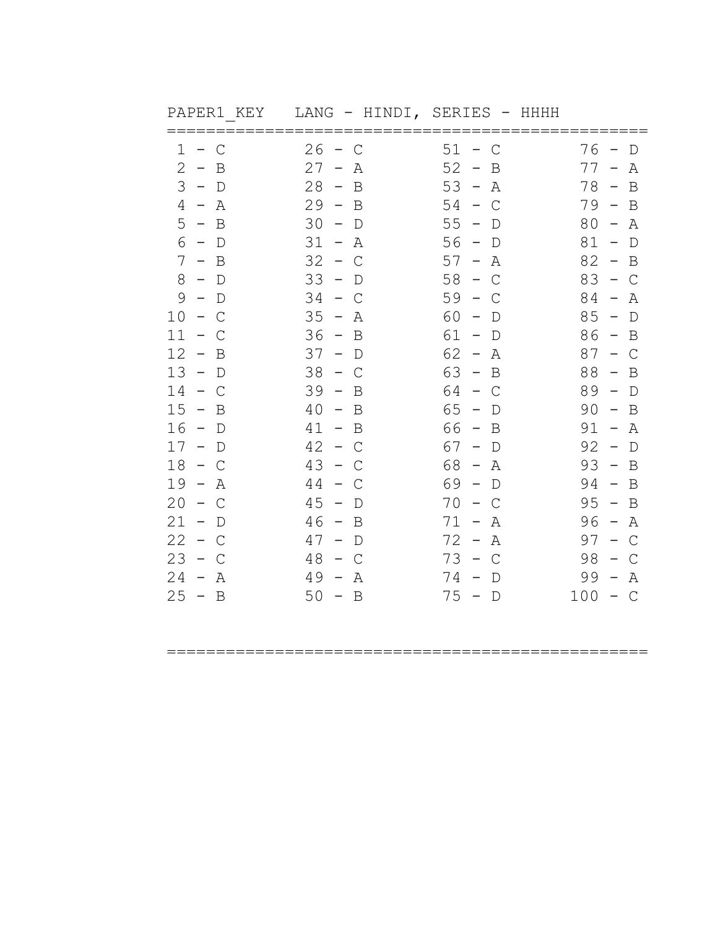| PAPER1 KEY              |                             | LANG - HINDI, SERIES - HHHH                   |                                                |
|-------------------------|-----------------------------|-----------------------------------------------|------------------------------------------------|
| 1<br>$-$ C              | $26 - C$                    | $51 - C$                                      | 76<br>$\mathbb D$<br>$\overline{\phantom{m}}$  |
| 2<br>$-$ B              | $27 -$<br>A                 | 52<br>$-$ B                                   | $77 -$<br>Α                                    |
| $3 - D$                 | $28 -$<br>B                 | $53 -$<br>Α                                   | $78 -$<br>B                                    |
| $4 - A$                 | 29<br>$-$ B                 | 54<br>$\mathsf{C}$<br>$\sim$                  | $79 -$<br>$\mathbf B$                          |
| 5 <sup>1</sup><br>$-$ B | 30<br>$-$ D                 | 55<br>$-$ D                                   | $80 - A$                                       |
| 6<br>$-$ D              | $31 - A$                    | $56 - D$                                      | $81 -$<br>$\mathbb D$                          |
| $7 - B$                 | 32<br>$-$ C                 | $57 -$<br>A                                   | 82<br>$-$ B                                    |
| $8 - D$                 | 33<br>$\sim$<br>$\mathbb D$ | $58 - C$                                      | $83 - C$                                       |
| 9<br>$-$ D              | 34<br>$-$ C                 | 59<br>$-$ C                                   | $84 -$<br>Α                                    |
| $10 - C$                | $35 -$<br>A                 | 60<br>$-$ D                                   | $85 - D$                                       |
| 11<br>$-$ C             | $36 - B$                    | $61 - D$                                      | $86 - B$                                       |
| 12<br>$\sim$<br>B       | 37<br>$-$ D                 | 62<br>Α<br>$\overline{\phantom{0}}$           | 87<br>$\mathsf{C}$<br>$\overline{\phantom{0}}$ |
| $13 - D$                | 38<br>$-$ C                 | $63 - B$                                      | 88<br>$-$ B                                    |
| 14<br>$-$ C             | 39<br>$\sim$<br>B           | $64 - C$                                      | $89 -$<br>$\mathbb D$                          |
| 15<br>$-$ B             | 40<br>$-$ B                 | 65<br>$\overline{\phantom{a}}$<br>$\mathbb D$ | 90<br>B<br>$\sim$                              |
| $16 - D$                | $41 - B$                    | 66 -<br>B                                     | $91 -$<br>Α                                    |
| $17 - D$                | 42<br>$-$ C                 | $67 - D$                                      | 92<br>$\Box$<br>$\overline{\phantom{a}}$       |
| 18<br>$-$ C             | 43<br>$-$ C                 | 68 -<br>A                                     | $93 - B$                                       |
| 19<br>– A               | 44<br>$-$ C                 | $69 - D$                                      | $94 - B$                                       |
| 20<br>$-$ C             | 45<br>$\sim$<br>$\mathbb D$ | 70<br>C<br>$\sim$                             | 95<br>B<br>$\overline{\phantom{a}}$            |
| 21<br>$-$ D             | 46<br>$-$ B                 | $71 -$<br>Α                                   | 96<br>A<br>$\overline{a}$                      |
| 22<br>$-$ C             | 47<br>$-$ D                 | $72 -$<br>Α                                   | $97 -$<br>$\mathsf{C}$                         |
| 23<br>$-$ C             | 48<br>$-$ C                 | $73 - C$                                      | 98<br>$\mathsf{C}$                             |
| 24<br>$- A$             | 49<br>$\sim$<br>Α           | $74 - D$                                      | 99<br>Α<br>$\hspace{0.1mm}-\hspace{0.1mm}$     |
| $25 - B$                | $50 - B$                    | $75 - D$                                      | $100 - C$                                      |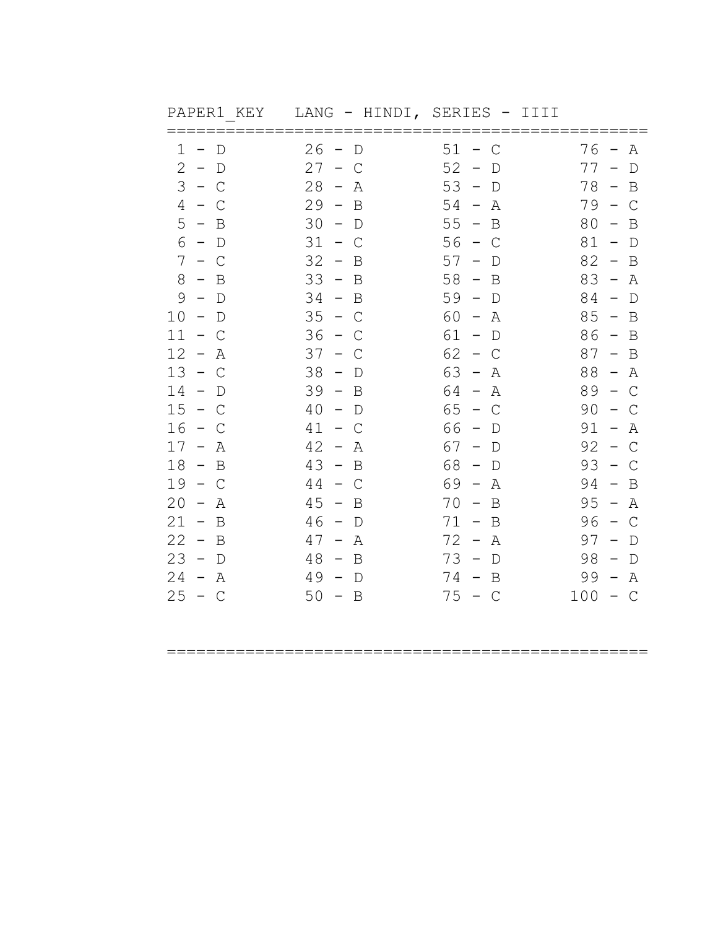| PAPER1 KEY                       | LANG - HINDI, SERIES - IIII                   |                                                      |                                                        |
|----------------------------------|-----------------------------------------------|------------------------------------------------------|--------------------------------------------------------|
| 1<br>$\Box$<br>$\qquad \qquad -$ | 26<br>$\overline{\phantom{a}}$<br>$\mathbb D$ | $51 - C$                                             | 76<br>Α<br>$\hspace{0.1mm}-\hspace{0.1mm}$             |
| 2<br>$-$ D                       | 27<br>$-$ C                                   | 52<br>$\mathbb D$<br>$\hspace{0.1mm}-\hspace{0.1mm}$ | $77 -$<br>$\mathbb D$                                  |
| $3 - C$                          | 28<br>Α<br>$\overline{\phantom{0}}$           | $53 -$<br>$\mathbb D$                                | $78 -$<br>B                                            |
| $4 - C$                          | 29<br>B<br>$\sim$                             | 54<br>Α<br>$\overline{\phantom{a}}$                  | $79 -$<br>$\mathsf{C}$                                 |
| 5<br>$-$ B                       | 30<br>$-$ D                                   | $55 - B$                                             | 80<br>$\mathbf B$<br>$\overline{\phantom{0}}$          |
| 6<br>$-$ D                       | 31<br>$-$ C                                   | 56<br>$-$ C                                          | 81<br>$\mathbb D$<br>$\overline{a}$                    |
| $7 - C$                          | 32<br>$-$ B                                   | 57<br>$\overline{\phantom{m}}$<br>$\mathbb D$        | 82<br>$-$ B                                            |
| $8 - B$                          | $33 -$<br>B                                   | $58 -$<br>B                                          | $83 -$<br>Α                                            |
| 9<br>$-$ D                       | 34<br>$-$ B                                   | 59<br>$-$ D                                          | $84 - D$                                               |
| $10 - D$                         | 35<br>$-$ C                                   | 60 -<br>Α                                            | $85 - B$                                               |
| 11<br>$-$ C                      | 36<br>$-$ C                                   | $61 - D$                                             | $86 - B$                                               |
| 12<br>$-$<br>Α                   | 37<br>$\equiv$<br>C                           | 62<br>$\sim$<br>$\mathsf{C}$                         | 87<br>$\mathbf B$<br>$\overline{\phantom{0}}$          |
| $13 - C$                         | 38<br>$-$ D                                   | $63 - A$                                             | 88<br>$- A$                                            |
| 14<br>$-$ D                      | 39<br>$-$ B                                   | 64 –<br>Α                                            | $89 - C$                                               |
| 15<br>$-$ C                      | 40<br>$-$ D                                   | 65<br>$-$ C                                          | 90<br>$\mathsf{C}$                                     |
| 16<br>$-$ C                      | 41<br>$-$ C                                   | 66 -<br>D                                            | 91<br>Α<br>$\hspace{0.1mm}-\hspace{0.1mm}$             |
| 17<br>$- A$                      | 42<br>Α<br>$\equiv$                           | 67<br>D<br>$\overline{\phantom{m}}$                  | 92<br>$\mathsf{C}$<br>$\hspace{0.1mm}-\hspace{0.1mm}$  |
| 18<br>$-$ B                      | 43<br>$-$ B                                   | 68<br>$-$ D                                          | 93<br>$-$ C                                            |
| 19<br>$-$ C                      | 44<br>$-$ C                                   | 69 -<br>Α                                            | 94<br>B<br>$\overline{\phantom{a}}$                    |
| 20<br>Α<br>$\sim$                | 45<br>$\equiv$ .<br>B                         | 70<br>B<br>$\overline{\phantom{0}}$                  | 95<br>Α<br>$\hspace{0.1mm}-\hspace{0.1mm}$             |
| $21 - B$                         | 46<br>$-$ D                                   | 71 -<br>B                                            | 96<br>$\mathcal{C}$<br>$\hspace{0.1mm}-\hspace{0.1mm}$ |
| 22<br>$-$ B                      | 47<br>$- A$                                   | $72 -$<br>Α                                          | 97<br>$\mathbb D$<br>$\hspace{0.1mm}-\hspace{0.1mm}$   |
| 23<br>$-$ D                      | 48<br>$-$ B                                   | $73 -$<br>$\mathbb D$                                | 98<br>D<br>$\overline{\phantom{0}}$                    |
| 24<br>$- A$                      | 49<br>$-$ D                                   | 74 –<br>B                                            | 99<br>Α<br>$\hspace{0.1mm}-\hspace{0.1mm}$             |
| 25<br>$-$ C                      | 50<br>$-$ B                                   | $75 - C$                                             | 100<br>$-$ C                                           |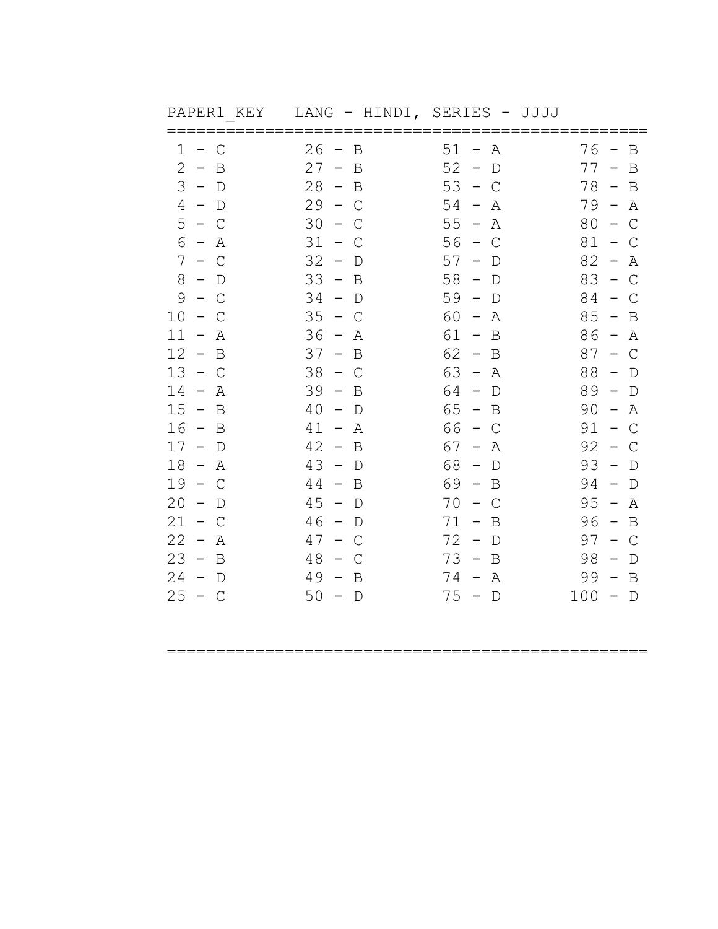| PAPER1 KEY                          | LANG - HINDI, SERIES - JJJJ                  |                                               |                                            |
|-------------------------------------|----------------------------------------------|-----------------------------------------------|--------------------------------------------|
| $\mathbf 1$<br>$-$ C                | 26<br>$\hspace{0.1cm}$ $\hspace{0.1cm}$<br>B | $51 -$<br>A                                   | 76<br>B                                    |
| 2<br>$-$ B                          | 27<br>$-$ B                                  | 52<br>$-$ D                                   | $77 -$<br>B                                |
| $3 - D$                             | 28<br>$-$ B                                  | $53 - C$                                      | 78 –<br>B                                  |
| $\overline{4}$<br>$-$ D             | 29<br>$\sim$<br>$\mathcal{C}$                | 54<br>$\overline{\phantom{m}}$<br>Α           | $79 -$<br>Α                                |
| 5<br>$-$ C                          | 30<br>$\sim$ .<br>C                          | 55<br>– A                                     | $80 - C$                                   |
| 6<br>$-$ A                          | 31<br>С<br>$\overline{\phantom{m}}$          | 56<br>$-$ C                                   | 81<br>– C                                  |
| $7 - C$                             | 32<br>$-$ D                                  | 57<br>$\overline{\phantom{m}}$<br>$\mathbb D$ | 82<br>Α<br>$\overline{\phantom{m}}$        |
| 8<br>$-$ D                          | 33<br>B<br>$\sim$                            | 58<br>$\sim$<br>$\mathbb D$                   | 83<br>$\mathcal{C}$<br>$\overline{a}$      |
| 9<br>$-$ C                          | 34<br>$-$ D                                  | $59 - D$                                      | 84<br>C<br>$\qquad \qquad -$               |
| 10<br>$-$ C                         | 35<br>$-$ C                                  | 60 -<br>Α                                     | $85 - B$                                   |
| $11 - A$                            | 36<br>– A                                    | 61 -<br>B                                     | $86 - A$                                   |
| 12<br>$\sim$<br>B                   | 37<br>B<br>$\equiv$                          | 62<br>B<br>$\sim$                             | 87<br>$\mathsf{C}$<br>$-$ .                |
| $13 - C$                            | 38<br>$-$ C                                  | $63 - A$                                      | 88<br>$-$ D                                |
| 14<br>Α<br>$\sim$                   | 39<br>B<br>$\sim$                            | $64 - D$                                      | $89 - D$                                   |
| $15 - B$                            | 40<br>$-$ D                                  | $65 - B$                                      | 90<br>Α<br>$\hspace{0.1mm}-\hspace{0.1mm}$ |
| $16 -$<br>B                         | 41<br>$\sim$<br>Α                            | 66 -<br>C                                     | 91<br>$\mathcal{C}$<br>$\overline{a}$      |
| 17<br>$-$ D                         | 42<br>B<br>$\sim$                            | 67<br>$ \,$<br>Α                              | 92<br>С<br>$\hspace{0.1mm}-\hspace{0.1mm}$ |
| 18<br>$- A$                         | 43<br>$-$ D                                  | 68<br>$-$ D                                   | 93<br>$\Box$<br>$\overline{\phantom{a}}$   |
| 19<br>$-$ C                         | 44<br>$-$ B                                  | 69 –<br>B                                     | 94<br>$\hspace{0.1mm}-\hspace{0.1mm}$<br>D |
| 20<br>$\overline{\phantom{m}}$<br>D | 45<br>$\sim$<br>D                            | 70<br>С<br>$\overline{\phantom{m}}$           | 95<br>Α<br>$\hspace{0.1mm}-\hspace{0.1mm}$ |
| 21<br>$- C$                         | 46<br>$-$ D                                  | $71 -$<br>B                                   | 96<br>$-$ B                                |
| 22<br>– A                           | 47<br>$-$ C                                  | 72<br>$-$ D                                   | $97 - C$                                   |
| $23 - B$                            | 48<br>$-$ C                                  | $73 -$<br>B                                   | 98<br>D                                    |
| 24<br>$-$ D                         | 49<br>$\sim$<br>B                            | 74 -<br>Α                                     | 99<br>B<br>$\hspace{0.1mm}-\hspace{0.1mm}$ |
| 25<br>$-$ C                         | 50<br>$-$ D                                  | $75 - D$                                      | $100 - D$                                  |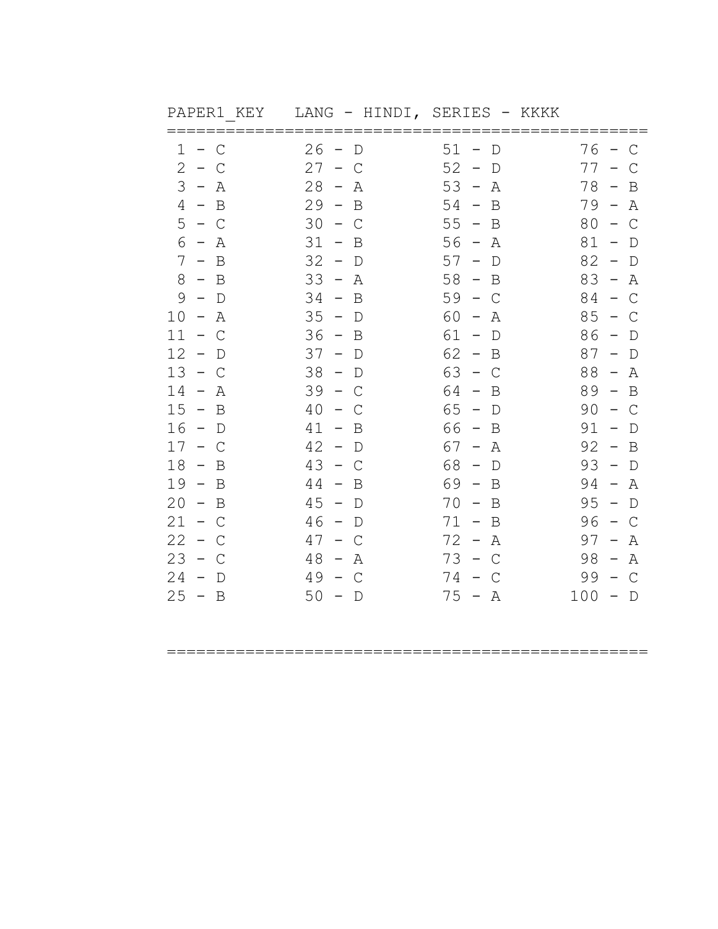| PAPERI NEI | $L$ ANG - RINDI, | OLKILO - NNNN |           |
|------------|------------------|---------------|-----------|
| $1 - C$    | $26 - D$         | $51 - D$      | $76 - C$  |
| $2 - C$    | $27 - C$         | $52 - D$      | $77 - C$  |
| $3 - A$    | $28 - A$         | $53 - A$      | $78 - B$  |
| $4 - B$    | $29 - B$         | $54 - B$      | $79 - A$  |
| $5 - C$    | $30 - C$         | $55 - B$      | $80 - C$  |
| $6 - A$    | $31 - B$         | $56 - A$      | $81 - D$  |
| $7 - B$    | $32 - D$         | $57 - D$      | $82 - D$  |
| $8 - B$    | $33 - A$         | $58 - B$      | $83 - A$  |
| $9 - D$    | $34 - B$         | $59 - C$      | $84 - C$  |
| $10 - A$   | $35 - D$         | $60 - A$      | $85 - C$  |
| $11 - C$   | $36 - B$         | $61 - D$      | $86 - D$  |
| $12 - D$   | $37 - D$         | $62 - B$      | $87 - D$  |
| $13 - C$   | $38 - D$         | $63 - C$      | $88 - A$  |
| $14 - A$   | $39 - C$         | $64 - B$      | $89 - B$  |
| $15 - B$   | $40 - C$         | $65 - D$      | $90 - C$  |
| $16 - D$   | $41 - B$         | $66 - B$      | $91 - D$  |
| $17 - C$   | $42 - D$         | $67 - A$      | $92 - B$  |
| $18 - B$   | $43 - C$         | $68 - D$      | $93 - D$  |
| $19 - B$   | $44 - B$         | $69 - B$      | $94 - A$  |
| $20 - B$   | $45 - D$         | $70 - B$      | $95 - D$  |
| $21 - C$   | $46 - D$         | $71 - B$      | $96 - C$  |
| $22 - C$   | $47 - C$         | $72 - A$      | $97 - A$  |
| $23 - C$   | $48 - A$         | $73 - C$      | $98 - A$  |
| $24 - D$   | $49 - C$         | $74 - C$      | $99 - C$  |
| $25 - B$   | $50 - D$         | $75 - A$      | $100 - D$ |

PAPER1\_KEY LANG - HINDI, SERIES - KKKK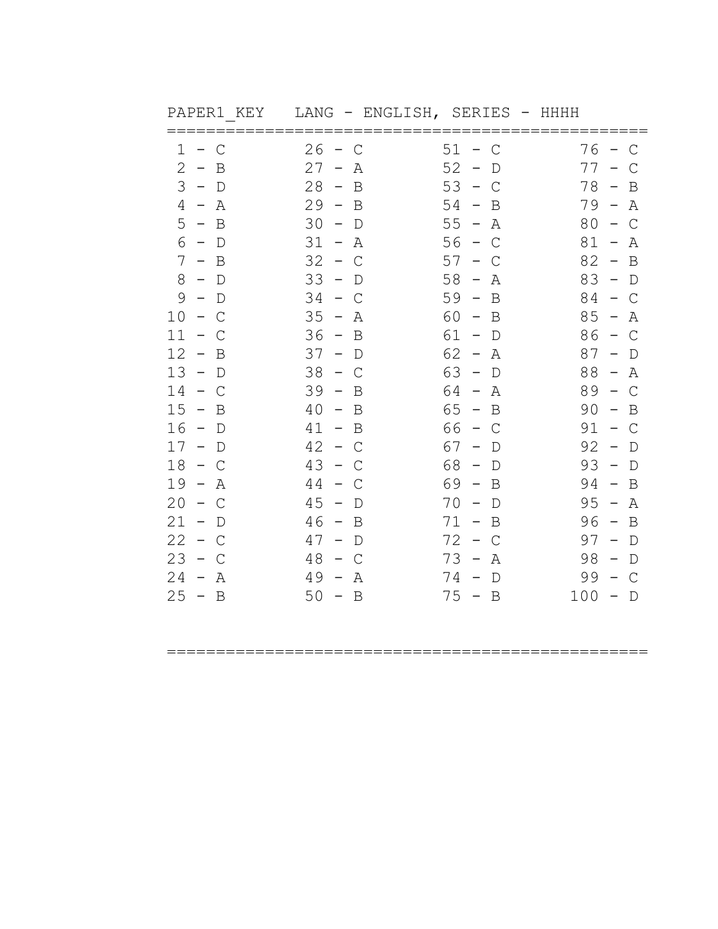| PAPER1 KEY                              | LANG - ENGLISH, SERIES                               | – HHHH                                                 |                                                       |
|-----------------------------------------|------------------------------------------------------|--------------------------------------------------------|-------------------------------------------------------|
| $\mathsf{C}$<br>1<br>$-$                | 26<br>$\mathsf{C}$<br>$\sim$                         | $51 -$<br>C                                            | 76<br>$\mathsf C$<br>$\overline{\phantom{0}}$         |
| 2<br>$\sim$<br>B                        | 27<br>Α<br>$\overline{\phantom{m}}$                  | 52<br>D                                                | 77<br>С                                               |
| 3<br>$-$ D                              | 28<br>B<br>$\sim$                                    | 53<br>$\hspace{0.1mm}-\hspace{0.1mm}$<br>C             | 78<br>B<br>$\hspace{0.1mm}-\hspace{0.1mm}$            |
| 4<br>– A                                | 29<br>$-$ B                                          | 54<br>$\overline{\phantom{a}}$<br>B                    | $79 -$<br>Α                                           |
| $5 - B$                                 | 30<br>$\hspace{0.1mm}-\hspace{0.1mm}$<br>$\mathbb D$ | $55 -$<br>Α                                            | 80<br>$\mathsf{C}$<br>$\hspace{0.1mm}-\hspace{0.1mm}$ |
| 6<br>$-$ D                              | $31 -$<br>Α                                          | $56 -$<br>$\mathsf{C}$                                 | 81<br>Α<br>$\hspace{0.1mm}-\hspace{0.1mm}$            |
| $7\phantom{.0}$<br>B<br>$\sim$          | 32<br>$\overline{a}$<br>С                            | 57<br>C                                                | 82<br>B<br>$\hspace{0.1mm}-\hspace{0.1mm}$            |
| 8<br>$-$ D                              | 33<br>$-$ D                                          | 58<br>$\hspace{0.1mm}-\hspace{0.1mm}$<br>Α             | 83<br>$-$ D                                           |
| 9<br>$\Box$<br>$\overline{\phantom{a}}$ | 34<br>C<br>$\sim$                                    | $59 -$<br>B                                            | 84<br>$-$ C                                           |
| 10<br>$\overline{\phantom{m}}$<br>C     | 35<br>Α<br>$\hspace{0.1mm}-\hspace{0.1mm}$           | 60<br>B<br>$\hspace{0.1mm}-\hspace{0.1mm}$             | 85<br>Α<br>$\overline{\phantom{a}}$                   |
| 11<br>$\equiv$ .<br>C                   | 36<br>B<br>$\sim$                                    | 61<br>$\sim$<br>$\mathbb D$                            | 86<br>$\mathcal{C}$<br>$\hspace{0.1cm} -$             |
| 12<br>$\mathbf B$<br>$\sim$             | 37<br>$-$ D                                          | $62 -$<br>Α                                            | 87<br>$\mathbb D$<br>$\overline{\phantom{m}}$         |
| 13<br>$-$ D                             | 38<br>C<br>$\overline{\phantom{0}}$                  | 63<br>$\hspace{0.1cm}$ $\hspace{0.1cm}$<br>$\mathbb D$ | 88<br>Α<br>$\overline{\phantom{0}}$                   |
| 14<br>$-$ C                             | 39<br>$\sim$<br>B                                    | 64 -<br>Α                                              | 89<br>$\mathsf{C}$<br>$\overline{\phantom{0}}$        |
| 15<br>$\sim$<br>B                       | 40<br>$\mathbf B$<br>$ \,$                           | 65<br>$\hspace{0.1mm}-\hspace{0.1mm}$<br>B             | 90<br>$\mathbf B$<br>$\overline{\phantom{m}}$         |
| 16<br>$-$ D                             | 41<br>$-$ B                                          | 66<br>$\sim$<br>C                                      | 91<br>C<br>$\overline{a}$                             |
| $17 - D$                                | 42<br>$-$ C                                          | 67<br>D<br>$\overline{\phantom{a}}$                    | 92<br>D<br>$\hspace{0.1mm}-\hspace{0.1mm}$            |
| 18<br>$\sim$<br>C                       | 43<br>$\overline{\phantom{m}}$<br>С                  | 68<br>$\hspace{0.1mm}-\hspace{0.1mm}$<br>D             | 93<br>$\mathbb D$<br>$\hspace{0.1mm}-\hspace{0.1mm}$  |
| 19<br>$\sim$<br>Α                       | 44<br>$\mathsf{C}$<br>$\equiv$ .                     | 69 -<br>B                                              | 94<br>B<br>$\hspace{0.1mm}-\hspace{0.1mm}$            |
| 20<br>C<br>$\overline{\phantom{m}}$     | 45<br>$\overline{\phantom{m}}$<br>D                  | 70<br>D<br>$\hspace{0.1mm}-\hspace{0.1mm}$             | 95<br>Α<br>$\overline{\phantom{m}}$                   |
| 21<br>$-$ D                             | 46<br>$-$ B                                          | $71 -$<br>B                                            | 96<br>$\overline{B}$<br>$\overline{\phantom{a}}$      |
| 22<br>$-$ C                             | 47<br>$-$ D                                          | 72<br>C<br>$\sim$                                      | 97<br>$\mathbb D$<br>$\overline{\phantom{0}}$         |
| 23<br>$-$ C                             | 48<br>C<br>$\overline{\phantom{0}}$                  | 73<br>$\hspace{0.1mm}-\hspace{0.1mm}$<br>Α             | 98<br>$\mathbb D$<br>$\hspace{0.1mm}-\hspace{0.1mm}$  |
| 24<br>$\sim$<br>Α                       | 49<br>Α<br>$\overline{\phantom{a}}$                  | $74 -$<br>D                                            | 99<br>C                                               |
| $25 - B$                                | $50 - B$                                             | $75 - B$                                               | 100<br>$\Box$<br>$\hspace{0.1mm}-\hspace{0.1mm}$      |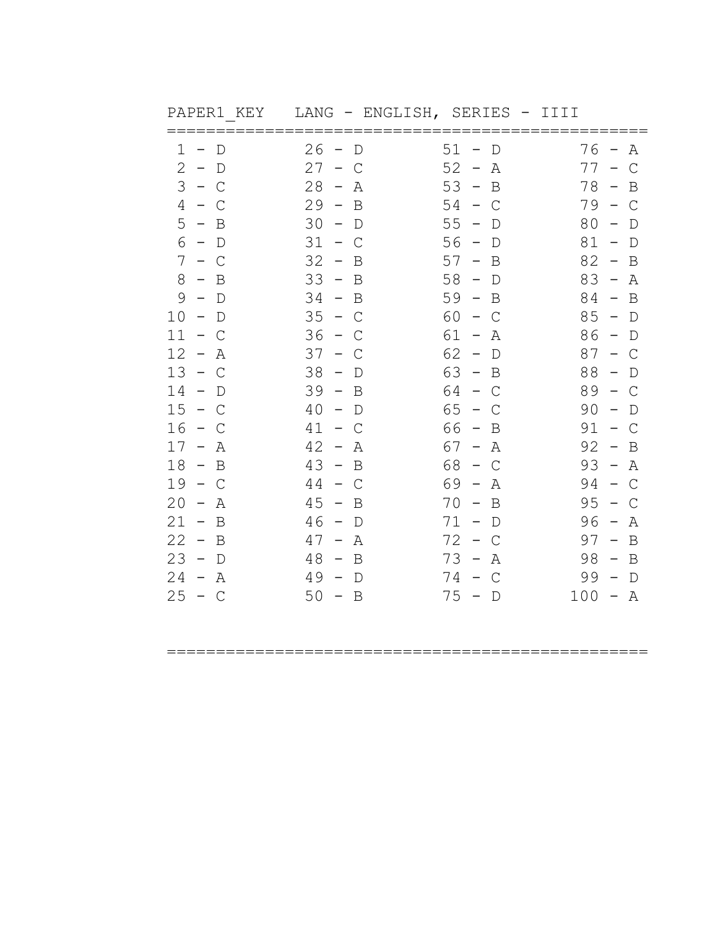| PAPER1 KEY                                     | LANG - ENGLISH, SERIES - IIII              |                                              |                                                       |
|------------------------------------------------|--------------------------------------------|----------------------------------------------|-------------------------------------------------------|
| 1<br>$\mathbb D$<br>$\qquad \qquad -$          | 26<br>D<br>$\overline{\phantom{0}}$        | $51 -$<br>D                                  | 76<br>Α<br>$\overline{\phantom{0}}$                   |
| 2<br>$\sim$<br>D                               | 27<br>$-$<br>C                             | 52<br>$\hspace{0.1mm}-\hspace{0.1mm}$<br>Α   | 77<br>$\mathsf{C}$<br>$\qquad \qquad -$               |
| 3<br>$\sim$<br>C                               | 28<br>$\hspace{0.1mm}-\hspace{0.1mm}$<br>Α | $53 -$<br>B                                  | 78<br>B<br>$\hspace{0.1mm}-\hspace{0.1mm}$            |
| 4<br>C<br>$\sim$                               | 29<br>$\sim$<br>B                          | 54<br>– C                                    | 79 –<br>C                                             |
| 5<br>$-$ B                                     | 30<br>$-$ D                                | 55<br>$\qquad \qquad -$<br>D                 | 80<br>$\mathbb D$<br>$\overline{\phantom{0}}$         |
| 6<br>$-$ D                                     | $31 -$<br>C                                | $56 -$<br>D                                  | 81<br>$\hspace{0.1mm}-\hspace{0.1mm}$<br>$\mathbb D$  |
| 7<br>C<br>$\overline{\phantom{0}}$             | 32<br>B<br>$\hspace{0.1mm}-\hspace{0.1mm}$ | 57<br>B<br>$\hspace{0.1mm}-\hspace{0.1mm}$   | 82<br>B<br>$\qquad \qquad -$                          |
| 8<br>$-$ B                                     | 33<br>B<br>$\sim$                          | 58<br>$-$ D                                  | 83<br>$\overline{\phantom{a}}$<br>Α                   |
| 9<br>$\Box$<br>$\hspace{0.1mm}-\hspace{0.1mm}$ | 34<br>$-$ B                                | $59 -$<br>B                                  | 84<br>B<br>$\hspace{0.1mm}-\hspace{0.1mm}$            |
| 10<br>$\hspace{0.1mm}-\hspace{0.1mm}$<br>D     | 35<br>$\sim$<br>C                          | 60<br>C<br>$\overline{\phantom{0}}$          | 85<br>$\hspace{0.1mm}-\hspace{0.1mm}$<br>$\mathbb D$  |
| 11<br>$\equiv$ .<br>C                          | 36<br>$\sim$<br>C                          | $61 -$<br>Α                                  | 86<br>$\mathbb D$<br>$\hspace{0.1mm}-\hspace{0.1mm}$  |
| 12<br>$\hspace{0.1mm}-\hspace{0.1mm}$<br>Α     | 37<br>$-$ .<br>C                           | 62<br>$\overline{\phantom{a}}$<br>D          | 87<br>C<br>$\sim$                                     |
| 13<br>$\sim$<br>С                              | 38<br>$\overline{\phantom{0}}$<br>D        | $63 - B$                                     | 88<br>$\mathbb D$<br>$\overline{\phantom{0}}$         |
| 14<br>$\overline{\phantom{m}}$<br>$\mathbb D$  | 39<br>$\sim$<br>$\overline{B}$             | 64 -<br>$\mathsf C$                          | 89<br>C<br>$\overline{\phantom{0}}$                   |
| 15<br>$\sim$<br>C                              | 40<br>$\overline{\phantom{m}}$<br>D        | 65<br>$\hspace{0.1cm}$ $\hspace{0.1cm}$<br>C | 90<br>D                                               |
| 16<br>$\hspace{0.1mm}-\hspace{0.1mm}$<br>C     | 41<br>$ \,$<br>C                           | 66<br>B<br>$\hspace{0.1mm}-\hspace{0.1mm}$   | 91<br>C<br>$\overline{\phantom{0}}$                   |
| 17<br>$\sim$<br>Α                              | 42<br>$\hspace{0.1mm}-\hspace{0.1mm}$<br>Α | 67 –<br>Α                                    | 92<br>B<br>$\hspace{0.1mm}-\hspace{0.1mm}$            |
| 18<br>$-$ B                                    | 43<br>$-$ B                                | 68<br>$\mathsf C$<br>$\sim$                  | 93<br>Α<br>$\hspace{0.1mm}-\hspace{0.1mm}$            |
| 19<br>$-$ C                                    | 44<br>$-$ C                                | 69 -<br>Α                                    | 94<br>$\mathsf{C}$<br>$\hspace{0.1mm}-\hspace{0.1mm}$ |
| 20<br>Α<br>$\overline{\phantom{m}}$            | 45<br>B<br>$\overline{\phantom{m}}$        | 70<br>B<br>$\hspace{0.1mm}-\hspace{0.1mm}$   | 95<br>С                                               |
| 21<br>$-$ B                                    | 46<br>$-$ D                                | $71 - D$                                     | 96<br>Α<br>$\hspace{0.1mm}-\hspace{0.1mm}$            |
| 22<br>$-$ B                                    | 47<br>Α<br>$\hspace{0.1mm}-\hspace{0.1mm}$ | 72<br>$\overline{\phantom{0}}$<br>C          | $97 -$<br>B                                           |
| $23 - D$                                       | 48<br>B<br>$\sim$                          | $73 -$<br>Α                                  | $98 -$<br>B                                           |
| 24<br>$\sim$<br>Α                              | 49<br>$\hspace{0.1mm}$<br>$\mathbb D$      | 74 –<br>C                                    | 99<br>$\qquad \qquad -$<br>$\mathbb D$                |
| 25<br>$-$ C                                    | 50<br>$-$ B                                | $75 - D$                                     | $100 -$<br>A                                          |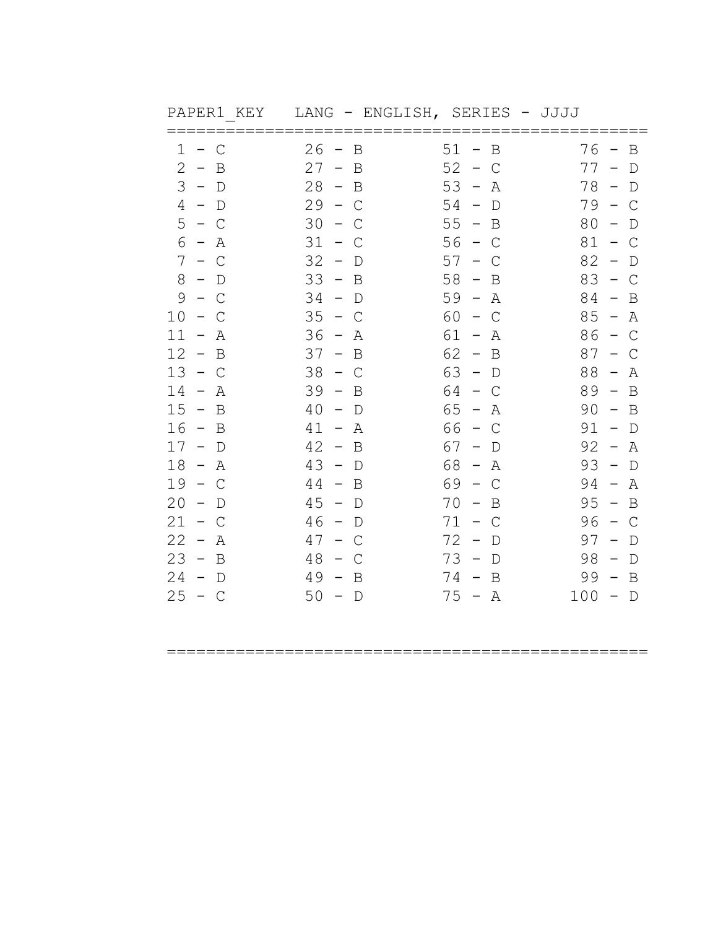| PAPER1 KEY                                    | LANG - ENGLISH, SERIES - JJJJ                        |                                            |                                                       |
|-----------------------------------------------|------------------------------------------------------|--------------------------------------------|-------------------------------------------------------|
| $\mathsf{C}$<br>1<br>$-$                      | 26<br>B<br>$\overline{\phantom{a}}$                  | $51 -$<br>B                                | $76 -$<br>B                                           |
| 2<br>$\sim$<br>B                              | 27<br>B<br>$-$ .                                     | 52<br>$\sim$<br>C                          | 77<br>$\overline{\phantom{m}}$<br>D                   |
| 3<br>$-$ D                                    | 28<br>$-$ B                                          | 53<br>$\overline{\phantom{a}}$<br>Α        | 78<br>$\hspace{0.1cm} -$<br>D                         |
| 4<br>$-$ D                                    | 29<br>$-$ C                                          | 54<br>$\overline{\phantom{a}}$<br>D        | 79 –<br>$\mathsf{C}$                                  |
| $5 - C$                                       | 30<br>C<br>$\overline{\phantom{0}}$                  | $55 - B$                                   | 80<br>$\mathbb D$                                     |
| 6<br>$- A$                                    | 31<br>$\sim$<br>C                                    | $56 - C$                                   | $81 -$<br>$\mathsf{C}$                                |
| $7\phantom{.0}$<br>$- C$                      | 32<br>$\overline{\phantom{m}}$<br>D                  | 57<br>$\overline{\phantom{m}}$<br>C        | 82<br>$\overline{\phantom{m}}$<br>D                   |
| 8<br>$-$ D                                    | 33<br>$-$ B                                          | 58<br>$\overline{\phantom{0}}$<br>B        | 83<br>$\mathsf{C}$<br>$\hspace{0.1mm}-\hspace{0.1mm}$ |
| 9<br>С<br>$\sim$                              | 34<br>$-$ D                                          | $59 -$<br>Α                                | 84<br>B<br>$\overline{\phantom{0}}$                   |
| 10<br>C<br>$ \,$                              | 35<br>$-$ C                                          | 60<br>$\sim$<br>C                          | 85<br>$\hspace{0.1mm}-\hspace{0.1mm}$<br>Α            |
| 11<br>$\equiv$<br>Α                           | 36<br>$\sim$<br>Α                                    | 61 -<br>Α                                  | $86 -$<br>$\mathsf{C}$                                |
| 12<br>B<br>$\sim$                             | 37<br>B<br>$\overline{\phantom{0}}$                  | $62 -$<br>B                                | 87<br>C<br>$\overline{\phantom{m}}$                   |
| $13 - C$                                      | 38<br>$-$ C                                          | $63 - D$                                   | 88<br>Α<br>$\overline{\phantom{a}}$                   |
| 14<br>$\hspace{0.1mm}-\hspace{0.1mm}$<br>Α    | 39<br>$\overline{\phantom{a}}$<br>B                  | 64<br>– C                                  | $89 -$<br>B                                           |
| $15 -$<br>B                                   | 40<br>$\overline{\phantom{m}}$<br>D                  | $65 -$<br>Α                                | 90<br>B<br>$\qquad \qquad -$                          |
| 16<br>$-$ B                                   | 41<br>Α<br>$\hspace{0.1mm}-\hspace{0.1mm}$           | 66<br>$\hspace{0.1mm}-\hspace{0.1mm}$<br>C | 91<br>$-$ D                                           |
| $17 -$<br>D                                   | 42<br>$\hspace{0.1mm}-\hspace{0.1mm}$<br>B           | 67<br>$\hspace{0.1mm}-\hspace{0.1mm}$<br>D | 92<br>$\hspace{0.1mm}-\hspace{0.1mm}$<br>Α            |
| 18<br>$\sim$<br>A                             | 43<br>$\hspace{0.1mm}-\hspace{0.1mm}$<br>$\Box$      | 68<br>Α<br>$\overline{\phantom{a}}$        | 93<br>$\mathbb D$<br>$\hspace{0.1mm}-\hspace{0.1mm}$  |
| 19<br>$-$ C                                   | 44<br>$\equiv$<br>B                                  | 69 –<br>C                                  | 94<br>Α<br>$\hspace{0.1mm}-\hspace{0.1mm}$            |
| 20<br>$\overline{\phantom{m}}$<br>$\mathbb D$ | 45<br>$\hspace{0.1mm}-\hspace{0.1mm}$<br>$\mathbb D$ | 70<br>B<br>$\overline{\phantom{m}}$        | 95<br>$\mathbf B$<br>$\overline{\phantom{m}}$         |
| 21<br>$-$ C                                   | 46<br>$-$ D                                          | 71<br>C<br>$\hspace{0.1mm}-\hspace{0.1mm}$ | 96<br>$\mathsf{C}$<br>$\overline{\phantom{0}}$        |
| 22<br>Α<br>$\sim$                             | 47<br>C<br>$\overline{\phantom{m}}$                  | 72<br>$\hspace{0.1mm}-\hspace{0.1mm}$<br>D | 97<br>D<br>$\overline{\phantom{m}}$                   |
| $23 - B$                                      | 48<br>C<br>$\overline{\phantom{0}}$                  | $73 -$<br>$\mathbb D$                      | 98<br>$\mathbb D$<br>$\overline{\phantom{0}}$         |
| 24<br>$-$ D                                   | 49<br>$\sim$<br>B                                    | $74 -$<br>B                                | 99<br>$\mathbf B$<br>$\hspace{0.1mm}-\hspace{0.1mm}$  |
| 25<br>$-$ C                                   | 50<br>$-$ D                                          | $75 - A$                                   | $100 - D$                                             |